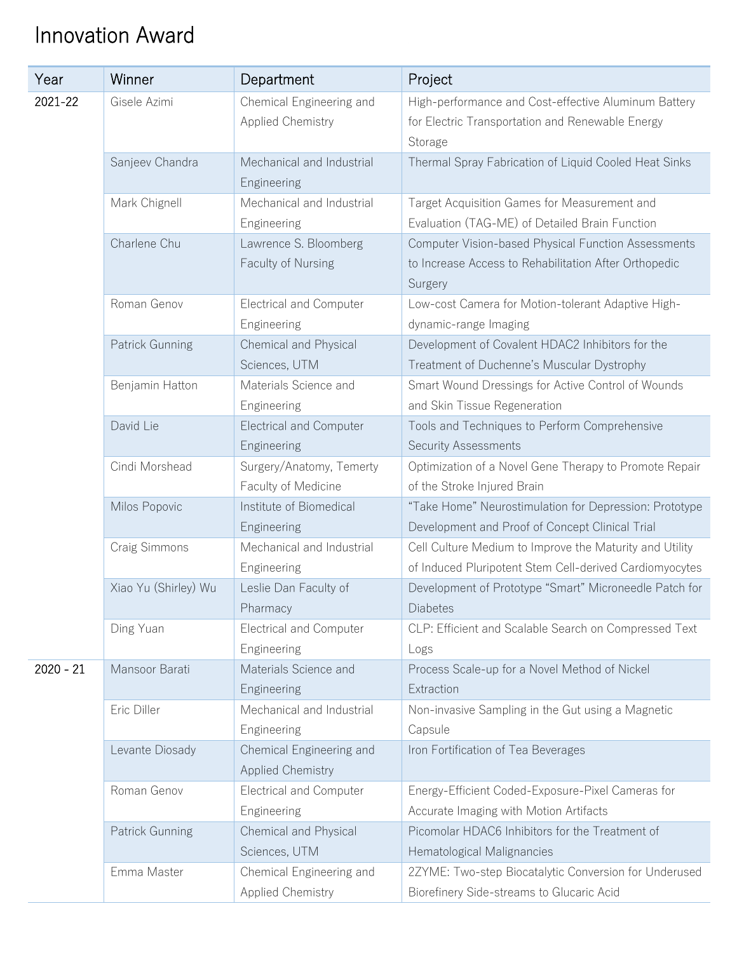## Innovation Award

| Year        | Winner               | Department                                           | Project                                                                                                                 |
|-------------|----------------------|------------------------------------------------------|-------------------------------------------------------------------------------------------------------------------------|
| 2021-22     | Gisele Azimi         | Chemical Engineering and                             | High-performance and Cost-effective Aluminum Battery                                                                    |
|             |                      | <b>Applied Chemistry</b>                             | for Electric Transportation and Renewable Energy<br>Storage                                                             |
|             | Sanjeev Chandra      | Mechanical and Industrial<br>Engineering             | Thermal Spray Fabrication of Liquid Cooled Heat Sinks                                                                   |
|             | Mark Chignell        | Mechanical and Industrial<br>Engineering             | Target Acquisition Games for Measurement and<br>Evaluation (TAG-ME) of Detailed Brain Function                          |
|             | Charlene Chu         | Lawrence S. Bloomberg<br>Faculty of Nursing          | Computer Vision-based Physical Function Assessments<br>to Increase Access to Rehabilitation After Orthopedic<br>Surgery |
|             | Roman Genov          | <b>Electrical and Computer</b><br>Engineering        | Low-cost Camera for Motion-tolerant Adaptive High-<br>dynamic-range Imaging                                             |
|             | Patrick Gunning      | Chemical and Physical<br>Sciences, UTM               | Development of Covalent HDAC2 Inhibitors for the<br>Treatment of Duchenne's Muscular Dystrophy                          |
|             | Benjamin Hatton      | Materials Science and<br>Engineering                 | Smart Wound Dressings for Active Control of Wounds<br>and Skin Tissue Regeneration                                      |
|             | David Lie            | <b>Electrical and Computer</b><br>Engineering        | Tools and Techniques to Perform Comprehensive<br><b>Security Assessments</b>                                            |
|             | Cindi Morshead       | Surgery/Anatomy, Temerty<br>Faculty of Medicine      | Optimization of a Novel Gene Therapy to Promote Repair<br>of the Stroke Injured Brain                                   |
|             | Milos Popovic        | Institute of Biomedical<br>Engineering               | "Take Home" Neurostimulation for Depression: Prototype<br>Development and Proof of Concept Clinical Trial               |
|             | Craig Simmons        | Mechanical and Industrial<br>Engineering             | Cell Culture Medium to Improve the Maturity and Utility<br>of Induced Pluripotent Stem Cell-derived Cardiomyocytes      |
|             | Xiao Yu (Shirley) Wu | Leslie Dan Faculty of<br>Pharmacy                    | Development of Prototype "Smart" Microneedle Patch for<br>Diabetes                                                      |
|             | Ding Yuan            | <b>Electrical and Computer</b><br>Engineering        | CLP: Efficient and Scalable Search on Compressed Text<br>Logs                                                           |
| $2020 - 21$ | Mansoor Barati       | Materials Science and<br>Engineering                 | Process Scale-up for a Novel Method of Nickel<br>Extraction                                                             |
|             | Eric Diller          | Mechanical and Industrial<br>Engineering             | Non-invasive Sampling in the Gut using a Magnetic<br>Capsule                                                            |
|             | Levante Diosady      | Chemical Engineering and<br><b>Applied Chemistry</b> | Iron Fortification of Tea Beverages                                                                                     |
|             | Roman Genov          | Electrical and Computer<br>Engineering               | Energy-Efficient Coded-Exposure-Pixel Cameras for<br>Accurate Imaging with Motion Artifacts                             |
|             | Patrick Gunning      | Chemical and Physical<br>Sciences, UTM               | Picomolar HDAC6 Inhibitors for the Treatment of<br>Hematological Malignancies                                           |
|             | Emma Master          | Chemical Engineering and<br><b>Applied Chemistry</b> | 2ZYME: Two-step Biocatalytic Conversion for Underused<br>Biorefinery Side-streams to Glucaric Acid                      |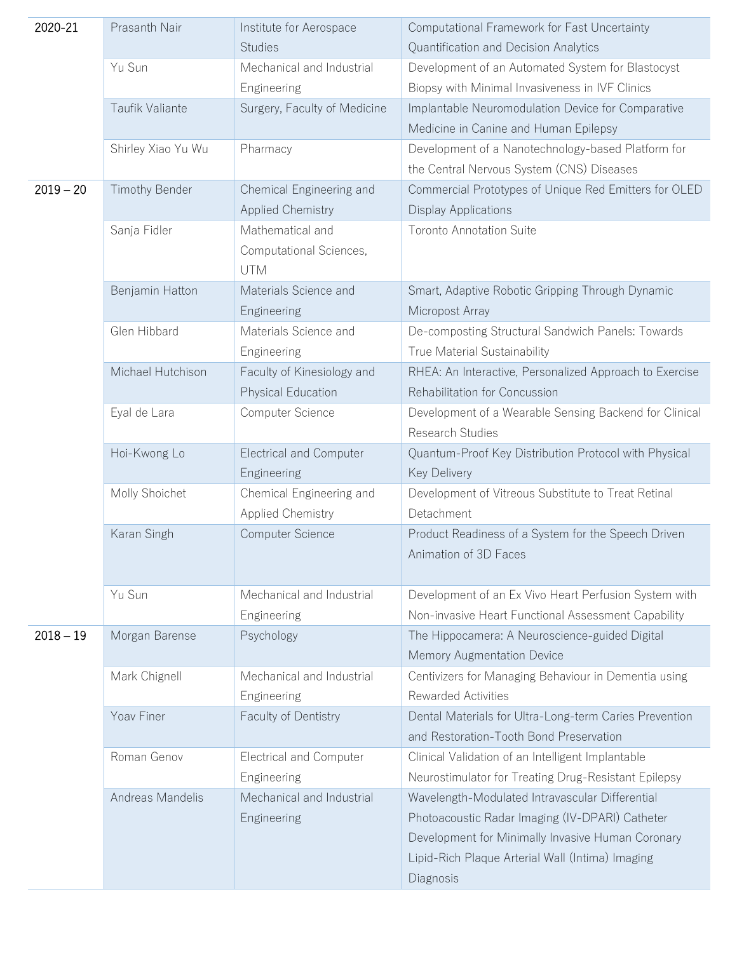| Yu Sun<br>Mechanical and Industrial<br>Development of an Automated System for Blastocyst<br>Biopsy with Minimal Invasiveness in IVF Clinics<br>Engineering<br>Taufik Valiante<br>Surgery, Faculty of Medicine<br>Implantable Neuromodulation Device for Comparative<br>Medicine in Canine and Human Epilepsy<br>Shirley Xiao Yu Wu<br>Pharmacy<br>Development of a Nanotechnology-based Platform for<br>the Central Nervous System (CNS) Diseases<br>Commercial Prototypes of Unique Red Emitters for OLED<br>$2019 - 20$<br>Timothy Bender<br>Chemical Engineering and<br><b>Applied Chemistry</b><br><b>Display Applications</b><br>Sanja Fidler<br>Mathematical and<br><b>Toronto Annotation Suite</b><br>Computational Sciences,<br><b>UTM</b><br>Materials Science and<br>Smart, Adaptive Robotic Gripping Through Dynamic<br>Benjamin Hatton<br>Micropost Array<br>Engineering<br>Glen Hibbard<br>De-composting Structural Sandwich Panels: Towards<br>Materials Science and<br>True Material Sustainability<br>Engineering<br>Michael Hutchison<br>Faculty of Kinesiology and<br>RHEA: An Interactive, Personalized Approach to Exercise<br>Rehabilitation for Concussion<br>Physical Education<br>Computer Science<br>Eyal de Lara<br>Development of a Wearable Sensing Backend for Clinical<br>Research Studies<br>Hoi-Kwong Lo<br><b>Electrical and Computer</b><br>Quantum-Proof Key Distribution Protocol with Physical<br><b>Key Delivery</b><br>Engineering<br>Molly Shoichet<br>Chemical Engineering and<br>Development of Vitreous Substitute to Treat Retinal<br>Detachment<br>Applied Chemistry<br>Karan Singh<br>Computer Science<br>Product Readiness of a System for the Speech Driven<br>Animation of 3D Faces<br>Yu Sun<br>Mechanical and Industrial<br>Development of an Ex Vivo Heart Perfusion System with<br>Non-invasive Heart Functional Assessment Capability<br>Engineering<br>$2018 - 19$<br>Morgan Barense<br>Psychology<br>The Hippocamera: A Neuroscience-guided Digital<br>Memory Augmentation Device<br>Mark Chignell<br>Mechanical and Industrial<br>Centivizers for Managing Behaviour in Dementia using<br><b>Rewarded Activities</b><br>Engineering<br>Yoav Finer<br>Faculty of Dentistry<br>Dental Materials for Ultra-Long-term Caries Prevention<br>and Restoration-Tooth Bond Preservation<br>Roman Genov<br>Electrical and Computer<br>Clinical Validation of an Intelligent Implantable<br>Engineering<br>Neurostimulator for Treating Drug-Resistant Epilepsy<br>Andreas Mandelis<br>Mechanical and Industrial<br>Wavelength-Modulated Intravascular Differential<br>Photoacoustic Radar Imaging (IV-DPARI) Catheter<br>Engineering<br>Development for Minimally Invasive Human Coronary<br>Lipid-Rich Plaque Arterial Wall (Intima) Imaging<br>Diagnosis | 2020-21 | Prasanth Nair | Institute for Aerospace<br><b>Studies</b> | Computational Framework for Fast Uncertainty<br>Quantification and Decision Analytics |
|-----------------------------------------------------------------------------------------------------------------------------------------------------------------------------------------------------------------------------------------------------------------------------------------------------------------------------------------------------------------------------------------------------------------------------------------------------------------------------------------------------------------------------------------------------------------------------------------------------------------------------------------------------------------------------------------------------------------------------------------------------------------------------------------------------------------------------------------------------------------------------------------------------------------------------------------------------------------------------------------------------------------------------------------------------------------------------------------------------------------------------------------------------------------------------------------------------------------------------------------------------------------------------------------------------------------------------------------------------------------------------------------------------------------------------------------------------------------------------------------------------------------------------------------------------------------------------------------------------------------------------------------------------------------------------------------------------------------------------------------------------------------------------------------------------------------------------------------------------------------------------------------------------------------------------------------------------------------------------------------------------------------------------------------------------------------------------------------------------------------------------------------------------------------------------------------------------------------------------------------------------------------------------------------------------------------------------------------------------------------------------------------------------------------------------------------------------------------------------------------------------------------------------------------------------------------------------------------------------------------------------------------------------------------------------------------------------------------------------------------------------------------------------------------------------------|---------|---------------|-------------------------------------------|---------------------------------------------------------------------------------------|
|                                                                                                                                                                                                                                                                                                                                                                                                                                                                                                                                                                                                                                                                                                                                                                                                                                                                                                                                                                                                                                                                                                                                                                                                                                                                                                                                                                                                                                                                                                                                                                                                                                                                                                                                                                                                                                                                                                                                                                                                                                                                                                                                                                                                                                                                                                                                                                                                                                                                                                                                                                                                                                                                                                                                                                                                           |         |               |                                           |                                                                                       |
|                                                                                                                                                                                                                                                                                                                                                                                                                                                                                                                                                                                                                                                                                                                                                                                                                                                                                                                                                                                                                                                                                                                                                                                                                                                                                                                                                                                                                                                                                                                                                                                                                                                                                                                                                                                                                                                                                                                                                                                                                                                                                                                                                                                                                                                                                                                                                                                                                                                                                                                                                                                                                                                                                                                                                                                                           |         |               |                                           |                                                                                       |
|                                                                                                                                                                                                                                                                                                                                                                                                                                                                                                                                                                                                                                                                                                                                                                                                                                                                                                                                                                                                                                                                                                                                                                                                                                                                                                                                                                                                                                                                                                                                                                                                                                                                                                                                                                                                                                                                                                                                                                                                                                                                                                                                                                                                                                                                                                                                                                                                                                                                                                                                                                                                                                                                                                                                                                                                           |         |               |                                           |                                                                                       |
|                                                                                                                                                                                                                                                                                                                                                                                                                                                                                                                                                                                                                                                                                                                                                                                                                                                                                                                                                                                                                                                                                                                                                                                                                                                                                                                                                                                                                                                                                                                                                                                                                                                                                                                                                                                                                                                                                                                                                                                                                                                                                                                                                                                                                                                                                                                                                                                                                                                                                                                                                                                                                                                                                                                                                                                                           |         |               |                                           |                                                                                       |
|                                                                                                                                                                                                                                                                                                                                                                                                                                                                                                                                                                                                                                                                                                                                                                                                                                                                                                                                                                                                                                                                                                                                                                                                                                                                                                                                                                                                                                                                                                                                                                                                                                                                                                                                                                                                                                                                                                                                                                                                                                                                                                                                                                                                                                                                                                                                                                                                                                                                                                                                                                                                                                                                                                                                                                                                           |         |               |                                           |                                                                                       |
|                                                                                                                                                                                                                                                                                                                                                                                                                                                                                                                                                                                                                                                                                                                                                                                                                                                                                                                                                                                                                                                                                                                                                                                                                                                                                                                                                                                                                                                                                                                                                                                                                                                                                                                                                                                                                                                                                                                                                                                                                                                                                                                                                                                                                                                                                                                                                                                                                                                                                                                                                                                                                                                                                                                                                                                                           |         |               |                                           |                                                                                       |
|                                                                                                                                                                                                                                                                                                                                                                                                                                                                                                                                                                                                                                                                                                                                                                                                                                                                                                                                                                                                                                                                                                                                                                                                                                                                                                                                                                                                                                                                                                                                                                                                                                                                                                                                                                                                                                                                                                                                                                                                                                                                                                                                                                                                                                                                                                                                                                                                                                                                                                                                                                                                                                                                                                                                                                                                           |         |               |                                           |                                                                                       |
|                                                                                                                                                                                                                                                                                                                                                                                                                                                                                                                                                                                                                                                                                                                                                                                                                                                                                                                                                                                                                                                                                                                                                                                                                                                                                                                                                                                                                                                                                                                                                                                                                                                                                                                                                                                                                                                                                                                                                                                                                                                                                                                                                                                                                                                                                                                                                                                                                                                                                                                                                                                                                                                                                                                                                                                                           |         |               |                                           |                                                                                       |
|                                                                                                                                                                                                                                                                                                                                                                                                                                                                                                                                                                                                                                                                                                                                                                                                                                                                                                                                                                                                                                                                                                                                                                                                                                                                                                                                                                                                                                                                                                                                                                                                                                                                                                                                                                                                                                                                                                                                                                                                                                                                                                                                                                                                                                                                                                                                                                                                                                                                                                                                                                                                                                                                                                                                                                                                           |         |               |                                           |                                                                                       |
|                                                                                                                                                                                                                                                                                                                                                                                                                                                                                                                                                                                                                                                                                                                                                                                                                                                                                                                                                                                                                                                                                                                                                                                                                                                                                                                                                                                                                                                                                                                                                                                                                                                                                                                                                                                                                                                                                                                                                                                                                                                                                                                                                                                                                                                                                                                                                                                                                                                                                                                                                                                                                                                                                                                                                                                                           |         |               |                                           |                                                                                       |
|                                                                                                                                                                                                                                                                                                                                                                                                                                                                                                                                                                                                                                                                                                                                                                                                                                                                                                                                                                                                                                                                                                                                                                                                                                                                                                                                                                                                                                                                                                                                                                                                                                                                                                                                                                                                                                                                                                                                                                                                                                                                                                                                                                                                                                                                                                                                                                                                                                                                                                                                                                                                                                                                                                                                                                                                           |         |               |                                           |                                                                                       |
|                                                                                                                                                                                                                                                                                                                                                                                                                                                                                                                                                                                                                                                                                                                                                                                                                                                                                                                                                                                                                                                                                                                                                                                                                                                                                                                                                                                                                                                                                                                                                                                                                                                                                                                                                                                                                                                                                                                                                                                                                                                                                                                                                                                                                                                                                                                                                                                                                                                                                                                                                                                                                                                                                                                                                                                                           |         |               |                                           |                                                                                       |
|                                                                                                                                                                                                                                                                                                                                                                                                                                                                                                                                                                                                                                                                                                                                                                                                                                                                                                                                                                                                                                                                                                                                                                                                                                                                                                                                                                                                                                                                                                                                                                                                                                                                                                                                                                                                                                                                                                                                                                                                                                                                                                                                                                                                                                                                                                                                                                                                                                                                                                                                                                                                                                                                                                                                                                                                           |         |               |                                           |                                                                                       |
|                                                                                                                                                                                                                                                                                                                                                                                                                                                                                                                                                                                                                                                                                                                                                                                                                                                                                                                                                                                                                                                                                                                                                                                                                                                                                                                                                                                                                                                                                                                                                                                                                                                                                                                                                                                                                                                                                                                                                                                                                                                                                                                                                                                                                                                                                                                                                                                                                                                                                                                                                                                                                                                                                                                                                                                                           |         |               |                                           |                                                                                       |
|                                                                                                                                                                                                                                                                                                                                                                                                                                                                                                                                                                                                                                                                                                                                                                                                                                                                                                                                                                                                                                                                                                                                                                                                                                                                                                                                                                                                                                                                                                                                                                                                                                                                                                                                                                                                                                                                                                                                                                                                                                                                                                                                                                                                                                                                                                                                                                                                                                                                                                                                                                                                                                                                                                                                                                                                           |         |               |                                           |                                                                                       |
|                                                                                                                                                                                                                                                                                                                                                                                                                                                                                                                                                                                                                                                                                                                                                                                                                                                                                                                                                                                                                                                                                                                                                                                                                                                                                                                                                                                                                                                                                                                                                                                                                                                                                                                                                                                                                                                                                                                                                                                                                                                                                                                                                                                                                                                                                                                                                                                                                                                                                                                                                                                                                                                                                                                                                                                                           |         |               |                                           |                                                                                       |
|                                                                                                                                                                                                                                                                                                                                                                                                                                                                                                                                                                                                                                                                                                                                                                                                                                                                                                                                                                                                                                                                                                                                                                                                                                                                                                                                                                                                                                                                                                                                                                                                                                                                                                                                                                                                                                                                                                                                                                                                                                                                                                                                                                                                                                                                                                                                                                                                                                                                                                                                                                                                                                                                                                                                                                                                           |         |               |                                           |                                                                                       |
|                                                                                                                                                                                                                                                                                                                                                                                                                                                                                                                                                                                                                                                                                                                                                                                                                                                                                                                                                                                                                                                                                                                                                                                                                                                                                                                                                                                                                                                                                                                                                                                                                                                                                                                                                                                                                                                                                                                                                                                                                                                                                                                                                                                                                                                                                                                                                                                                                                                                                                                                                                                                                                                                                                                                                                                                           |         |               |                                           |                                                                                       |
|                                                                                                                                                                                                                                                                                                                                                                                                                                                                                                                                                                                                                                                                                                                                                                                                                                                                                                                                                                                                                                                                                                                                                                                                                                                                                                                                                                                                                                                                                                                                                                                                                                                                                                                                                                                                                                                                                                                                                                                                                                                                                                                                                                                                                                                                                                                                                                                                                                                                                                                                                                                                                                                                                                                                                                                                           |         |               |                                           |                                                                                       |
|                                                                                                                                                                                                                                                                                                                                                                                                                                                                                                                                                                                                                                                                                                                                                                                                                                                                                                                                                                                                                                                                                                                                                                                                                                                                                                                                                                                                                                                                                                                                                                                                                                                                                                                                                                                                                                                                                                                                                                                                                                                                                                                                                                                                                                                                                                                                                                                                                                                                                                                                                                                                                                                                                                                                                                                                           |         |               |                                           |                                                                                       |
|                                                                                                                                                                                                                                                                                                                                                                                                                                                                                                                                                                                                                                                                                                                                                                                                                                                                                                                                                                                                                                                                                                                                                                                                                                                                                                                                                                                                                                                                                                                                                                                                                                                                                                                                                                                                                                                                                                                                                                                                                                                                                                                                                                                                                                                                                                                                                                                                                                                                                                                                                                                                                                                                                                                                                                                                           |         |               |                                           |                                                                                       |
|                                                                                                                                                                                                                                                                                                                                                                                                                                                                                                                                                                                                                                                                                                                                                                                                                                                                                                                                                                                                                                                                                                                                                                                                                                                                                                                                                                                                                                                                                                                                                                                                                                                                                                                                                                                                                                                                                                                                                                                                                                                                                                                                                                                                                                                                                                                                                                                                                                                                                                                                                                                                                                                                                                                                                                                                           |         |               |                                           |                                                                                       |
|                                                                                                                                                                                                                                                                                                                                                                                                                                                                                                                                                                                                                                                                                                                                                                                                                                                                                                                                                                                                                                                                                                                                                                                                                                                                                                                                                                                                                                                                                                                                                                                                                                                                                                                                                                                                                                                                                                                                                                                                                                                                                                                                                                                                                                                                                                                                                                                                                                                                                                                                                                                                                                                                                                                                                                                                           |         |               |                                           |                                                                                       |
|                                                                                                                                                                                                                                                                                                                                                                                                                                                                                                                                                                                                                                                                                                                                                                                                                                                                                                                                                                                                                                                                                                                                                                                                                                                                                                                                                                                                                                                                                                                                                                                                                                                                                                                                                                                                                                                                                                                                                                                                                                                                                                                                                                                                                                                                                                                                                                                                                                                                                                                                                                                                                                                                                                                                                                                                           |         |               |                                           |                                                                                       |
|                                                                                                                                                                                                                                                                                                                                                                                                                                                                                                                                                                                                                                                                                                                                                                                                                                                                                                                                                                                                                                                                                                                                                                                                                                                                                                                                                                                                                                                                                                                                                                                                                                                                                                                                                                                                                                                                                                                                                                                                                                                                                                                                                                                                                                                                                                                                                                                                                                                                                                                                                                                                                                                                                                                                                                                                           |         |               |                                           |                                                                                       |
|                                                                                                                                                                                                                                                                                                                                                                                                                                                                                                                                                                                                                                                                                                                                                                                                                                                                                                                                                                                                                                                                                                                                                                                                                                                                                                                                                                                                                                                                                                                                                                                                                                                                                                                                                                                                                                                                                                                                                                                                                                                                                                                                                                                                                                                                                                                                                                                                                                                                                                                                                                                                                                                                                                                                                                                                           |         |               |                                           |                                                                                       |
|                                                                                                                                                                                                                                                                                                                                                                                                                                                                                                                                                                                                                                                                                                                                                                                                                                                                                                                                                                                                                                                                                                                                                                                                                                                                                                                                                                                                                                                                                                                                                                                                                                                                                                                                                                                                                                                                                                                                                                                                                                                                                                                                                                                                                                                                                                                                                                                                                                                                                                                                                                                                                                                                                                                                                                                                           |         |               |                                           |                                                                                       |
|                                                                                                                                                                                                                                                                                                                                                                                                                                                                                                                                                                                                                                                                                                                                                                                                                                                                                                                                                                                                                                                                                                                                                                                                                                                                                                                                                                                                                                                                                                                                                                                                                                                                                                                                                                                                                                                                                                                                                                                                                                                                                                                                                                                                                                                                                                                                                                                                                                                                                                                                                                                                                                                                                                                                                                                                           |         |               |                                           |                                                                                       |
|                                                                                                                                                                                                                                                                                                                                                                                                                                                                                                                                                                                                                                                                                                                                                                                                                                                                                                                                                                                                                                                                                                                                                                                                                                                                                                                                                                                                                                                                                                                                                                                                                                                                                                                                                                                                                                                                                                                                                                                                                                                                                                                                                                                                                                                                                                                                                                                                                                                                                                                                                                                                                                                                                                                                                                                                           |         |               |                                           |                                                                                       |
|                                                                                                                                                                                                                                                                                                                                                                                                                                                                                                                                                                                                                                                                                                                                                                                                                                                                                                                                                                                                                                                                                                                                                                                                                                                                                                                                                                                                                                                                                                                                                                                                                                                                                                                                                                                                                                                                                                                                                                                                                                                                                                                                                                                                                                                                                                                                                                                                                                                                                                                                                                                                                                                                                                                                                                                                           |         |               |                                           |                                                                                       |
|                                                                                                                                                                                                                                                                                                                                                                                                                                                                                                                                                                                                                                                                                                                                                                                                                                                                                                                                                                                                                                                                                                                                                                                                                                                                                                                                                                                                                                                                                                                                                                                                                                                                                                                                                                                                                                                                                                                                                                                                                                                                                                                                                                                                                                                                                                                                                                                                                                                                                                                                                                                                                                                                                                                                                                                                           |         |               |                                           |                                                                                       |
|                                                                                                                                                                                                                                                                                                                                                                                                                                                                                                                                                                                                                                                                                                                                                                                                                                                                                                                                                                                                                                                                                                                                                                                                                                                                                                                                                                                                                                                                                                                                                                                                                                                                                                                                                                                                                                                                                                                                                                                                                                                                                                                                                                                                                                                                                                                                                                                                                                                                                                                                                                                                                                                                                                                                                                                                           |         |               |                                           |                                                                                       |
|                                                                                                                                                                                                                                                                                                                                                                                                                                                                                                                                                                                                                                                                                                                                                                                                                                                                                                                                                                                                                                                                                                                                                                                                                                                                                                                                                                                                                                                                                                                                                                                                                                                                                                                                                                                                                                                                                                                                                                                                                                                                                                                                                                                                                                                                                                                                                                                                                                                                                                                                                                                                                                                                                                                                                                                                           |         |               |                                           |                                                                                       |
|                                                                                                                                                                                                                                                                                                                                                                                                                                                                                                                                                                                                                                                                                                                                                                                                                                                                                                                                                                                                                                                                                                                                                                                                                                                                                                                                                                                                                                                                                                                                                                                                                                                                                                                                                                                                                                                                                                                                                                                                                                                                                                                                                                                                                                                                                                                                                                                                                                                                                                                                                                                                                                                                                                                                                                                                           |         |               |                                           |                                                                                       |
|                                                                                                                                                                                                                                                                                                                                                                                                                                                                                                                                                                                                                                                                                                                                                                                                                                                                                                                                                                                                                                                                                                                                                                                                                                                                                                                                                                                                                                                                                                                                                                                                                                                                                                                                                                                                                                                                                                                                                                                                                                                                                                                                                                                                                                                                                                                                                                                                                                                                                                                                                                                                                                                                                                                                                                                                           |         |               |                                           |                                                                                       |
|                                                                                                                                                                                                                                                                                                                                                                                                                                                                                                                                                                                                                                                                                                                                                                                                                                                                                                                                                                                                                                                                                                                                                                                                                                                                                                                                                                                                                                                                                                                                                                                                                                                                                                                                                                                                                                                                                                                                                                                                                                                                                                                                                                                                                                                                                                                                                                                                                                                                                                                                                                                                                                                                                                                                                                                                           |         |               |                                           |                                                                                       |
|                                                                                                                                                                                                                                                                                                                                                                                                                                                                                                                                                                                                                                                                                                                                                                                                                                                                                                                                                                                                                                                                                                                                                                                                                                                                                                                                                                                                                                                                                                                                                                                                                                                                                                                                                                                                                                                                                                                                                                                                                                                                                                                                                                                                                                                                                                                                                                                                                                                                                                                                                                                                                                                                                                                                                                                                           |         |               |                                           |                                                                                       |
|                                                                                                                                                                                                                                                                                                                                                                                                                                                                                                                                                                                                                                                                                                                                                                                                                                                                                                                                                                                                                                                                                                                                                                                                                                                                                                                                                                                                                                                                                                                                                                                                                                                                                                                                                                                                                                                                                                                                                                                                                                                                                                                                                                                                                                                                                                                                                                                                                                                                                                                                                                                                                                                                                                                                                                                                           |         |               |                                           |                                                                                       |
|                                                                                                                                                                                                                                                                                                                                                                                                                                                                                                                                                                                                                                                                                                                                                                                                                                                                                                                                                                                                                                                                                                                                                                                                                                                                                                                                                                                                                                                                                                                                                                                                                                                                                                                                                                                                                                                                                                                                                                                                                                                                                                                                                                                                                                                                                                                                                                                                                                                                                                                                                                                                                                                                                                                                                                                                           |         |               |                                           |                                                                                       |
|                                                                                                                                                                                                                                                                                                                                                                                                                                                                                                                                                                                                                                                                                                                                                                                                                                                                                                                                                                                                                                                                                                                                                                                                                                                                                                                                                                                                                                                                                                                                                                                                                                                                                                                                                                                                                                                                                                                                                                                                                                                                                                                                                                                                                                                                                                                                                                                                                                                                                                                                                                                                                                                                                                                                                                                                           |         |               |                                           |                                                                                       |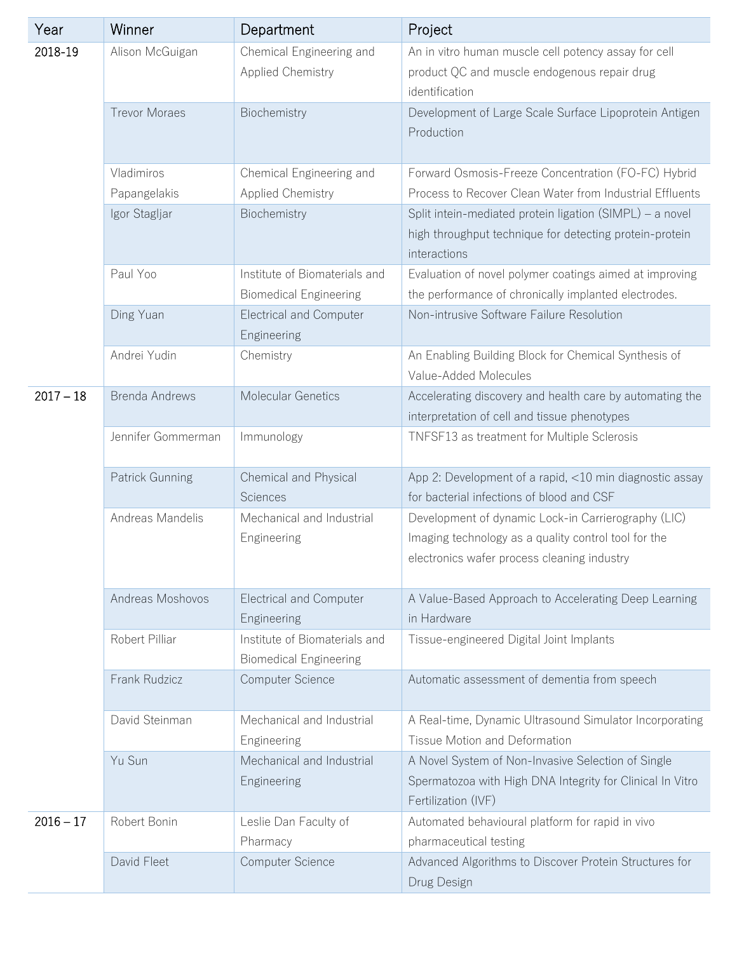| Year        | Winner                     | Department                                                     | Project                                                                                                                                                    |
|-------------|----------------------------|----------------------------------------------------------------|------------------------------------------------------------------------------------------------------------------------------------------------------------|
| 2018-19     | Alison McGuigan            | Chemical Engineering and<br><b>Applied Chemistry</b>           | An in vitro human muscle cell potency assay for cell<br>product QC and muscle endogenous repair drug<br>identification                                     |
|             | <b>Trevor Moraes</b>       | Biochemistry                                                   | Development of Large Scale Surface Lipoprotein Antigen<br>Production                                                                                       |
|             | Vladimiros<br>Papangelakis | Chemical Engineering and<br>Applied Chemistry                  | Forward Osmosis-Freeze Concentration (FO-FC) Hybrid<br>Process to Recover Clean Water from Industrial Effluents                                            |
|             | Igor Stagljar              | Biochemistry                                                   | Split intein-mediated protein ligation (SIMPL) - a novel<br>high throughput technique for detecting protein-protein<br>interactions                        |
|             | Paul Yoo                   | Institute of Biomaterials and<br><b>Biomedical Engineering</b> | Evaluation of novel polymer coatings aimed at improving<br>the performance of chronically implanted electrodes.                                            |
|             | Ding Yuan                  | <b>Electrical and Computer</b><br>Engineering                  | Non-intrusive Software Failure Resolution                                                                                                                  |
|             | Andrei Yudin               | Chemistry                                                      | An Enabling Building Block for Chemical Synthesis of<br>Value-Added Molecules                                                                              |
| $2017 - 18$ | <b>Brenda Andrews</b>      | Molecular Genetics                                             | Accelerating discovery and health care by automating the<br>interpretation of cell and tissue phenotypes                                                   |
|             | Jennifer Gommerman         | Immunology                                                     | TNFSF13 as treatment for Multiple Sclerosis                                                                                                                |
|             | Patrick Gunning            | Chemical and Physical<br>Sciences                              | App 2: Development of a rapid, <10 min diagnostic assay<br>for bacterial infections of blood and CSF                                                       |
|             | Andreas Mandelis           | Mechanical and Industrial<br>Engineering                       | Development of dynamic Lock-in Carrierography (LIC)<br>Imaging technology as a quality control tool for the<br>electronics wafer process cleaning industry |
|             | Andreas Moshovos           | <b>Electrical and Computer</b><br>Engineering                  | A Value-Based Approach to Accelerating Deep Learning<br>in Hardware                                                                                        |
|             | Robert Pilliar             | Institute of Biomaterials and<br><b>Biomedical Engineering</b> | Tissue-engineered Digital Joint Implants                                                                                                                   |
|             | Frank Rudzicz              | Computer Science                                               | Automatic assessment of dementia from speech                                                                                                               |
|             | David Steinman             | Mechanical and Industrial<br>Engineering                       | A Real-time, Dynamic Ultrasound Simulator Incorporating<br>Tissue Motion and Deformation                                                                   |
|             | Yu Sun                     | Mechanical and Industrial<br>Engineering                       | A Novel System of Non-Invasive Selection of Single<br>Spermatozoa with High DNA Integrity for Clinical In Vitro<br>Fertilization (IVF)                     |
| $2016 - 17$ | Robert Bonin               | Leslie Dan Faculty of<br>Pharmacy                              | Automated behavioural platform for rapid in vivo<br>pharmaceutical testing                                                                                 |
|             | David Fleet                | Computer Science                                               | Advanced Algorithms to Discover Protein Structures for<br>Drug Design                                                                                      |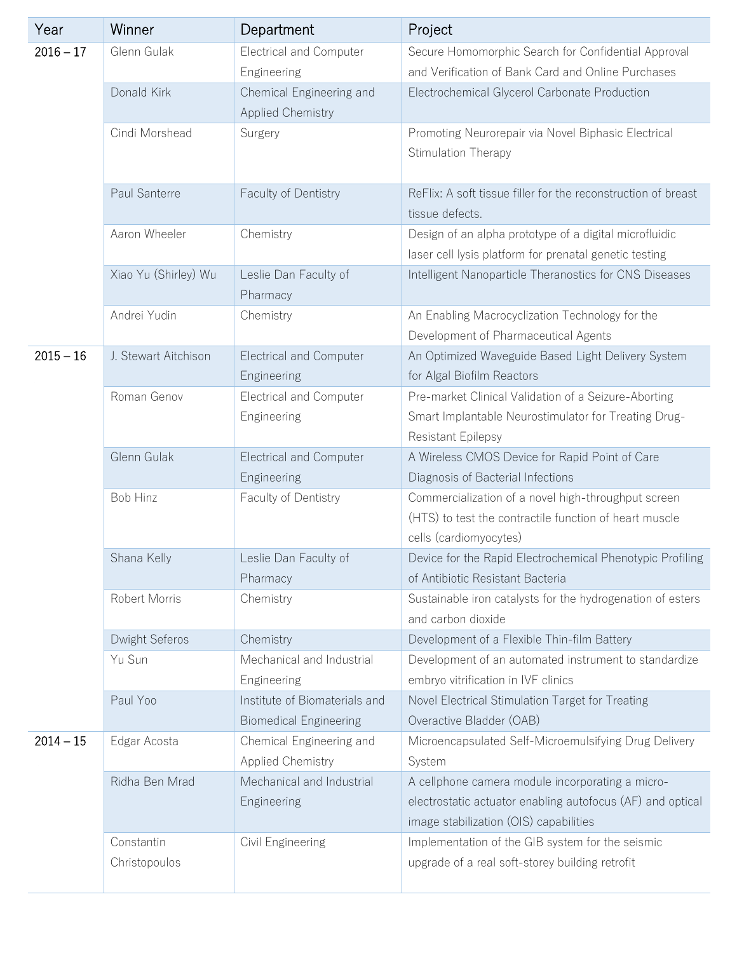| Year        | Winner                      | Department                                                     | Project                                                                                                                                                  |
|-------------|-----------------------------|----------------------------------------------------------------|----------------------------------------------------------------------------------------------------------------------------------------------------------|
| $2016 - 17$ | Glenn Gulak                 | <b>Electrical and Computer</b><br>Engineering                  | Secure Homomorphic Search for Confidential Approval<br>and Verification of Bank Card and Online Purchases                                                |
|             | Donald Kirk                 | Chemical Engineering and<br><b>Applied Chemistry</b>           | Electrochemical Glycerol Carbonate Production                                                                                                            |
|             | Cindi Morshead              | Surgery                                                        | Promoting Neurorepair via Novel Biphasic Electrical<br>Stimulation Therapy                                                                               |
|             | Paul Santerre               | Faculty of Dentistry                                           | ReFlix: A soft tissue filler for the reconstruction of breast<br>tissue defects.                                                                         |
|             | Aaron Wheeler               | Chemistry                                                      | Design of an alpha prototype of a digital microfluidic<br>laser cell lysis platform for prenatal genetic testing                                         |
|             | Xiao Yu (Shirley) Wu        | Leslie Dan Faculty of<br>Pharmacy                              | Intelligent Nanoparticle Theranostics for CNS Diseases                                                                                                   |
|             | Andrei Yudin                | Chemistry                                                      | An Enabling Macrocyclization Technology for the<br>Development of Pharmaceutical Agents                                                                  |
| $2015 - 16$ | J. Stewart Aitchison        | <b>Electrical and Computer</b><br>Engineering                  | An Optimized Waveguide Based Light Delivery System<br>for Algal Biofilm Reactors                                                                         |
|             | Roman Genov                 | Electrical and Computer<br>Engineering                         | Pre-market Clinical Validation of a Seizure-Aborting<br>Smart Implantable Neurostimulator for Treating Drug-<br><b>Resistant Epilepsy</b>                |
|             | Glenn Gulak                 | <b>Electrical and Computer</b><br>Engineering                  | A Wireless CMOS Device for Rapid Point of Care<br>Diagnosis of Bacterial Infections                                                                      |
|             | Bob Hinz                    | Faculty of Dentistry                                           | Commercialization of a novel high-throughput screen<br>(HTS) to test the contractile function of heart muscle<br>cells (cardiomyocytes)                  |
|             | Shana Kelly                 | eslie Dan Faculty of<br>Pharmacy                               | Device for the Rapid Electrochemical Phenotypic Profiling<br>of Antibiotic Resistant Bacteria                                                            |
|             | Robert Morris               | Chemistry                                                      | Sustainable iron catalysts for the hydrogenation of esters<br>and carbon dioxide                                                                         |
|             | Dwight Seferos              | Chemistry                                                      | Development of a Flexible Thin-film Battery                                                                                                              |
|             | Yu Sun                      | Mechanical and Industrial<br>Engineering                       | Development of an automated instrument to standardize<br>embryo vitrification in IVF clinics                                                             |
|             | Paul Yoo                    | Institute of Biomaterials and<br><b>Biomedical Engineering</b> | Novel Electrical Stimulation Target for Treating<br>Overactive Bladder (OAB)                                                                             |
| $2014 - 15$ | Edgar Acosta                | Chemical Engineering and<br><b>Applied Chemistry</b>           | Microencapsulated Self-Microemulsifying Drug Delivery<br>System                                                                                          |
|             | Ridha Ben Mrad              | Mechanical and Industrial<br>Engineering                       | A cellphone camera module incorporating a micro-<br>electrostatic actuator enabling autofocus (AF) and optical<br>image stabilization (OIS) capabilities |
|             | Constantin<br>Christopoulos | Civil Engineering                                              | Implementation of the GIB system for the seismic<br>upgrade of a real soft-storey building retrofit                                                      |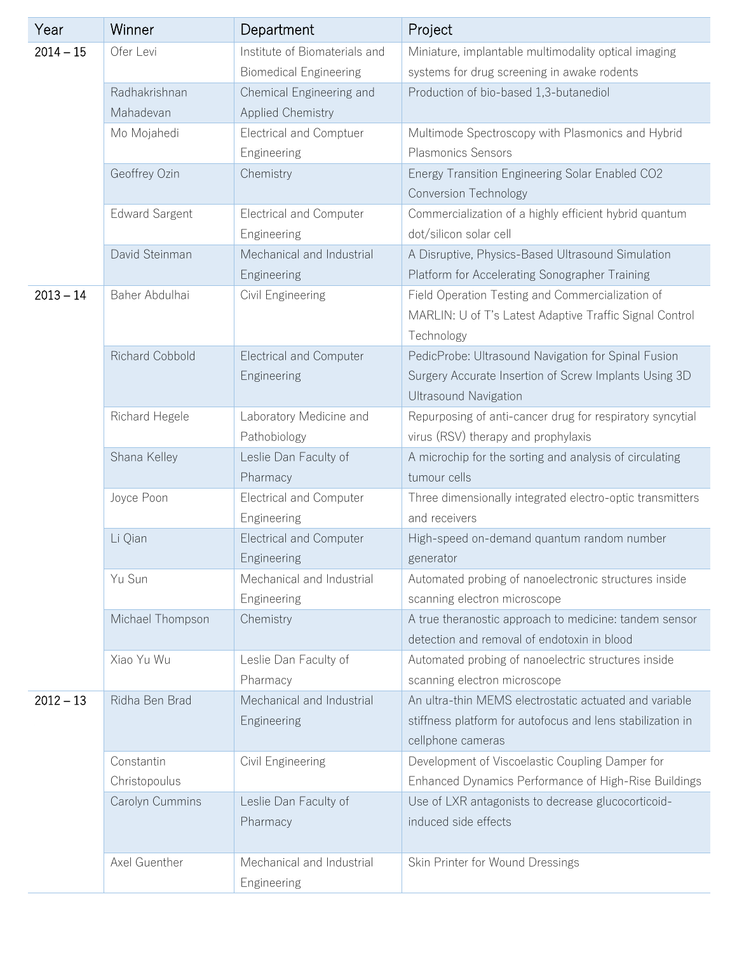| Year        | Winner                 | Department                     | Project                                                    |
|-------------|------------------------|--------------------------------|------------------------------------------------------------|
| $2014 - 15$ | Ofer Levi              | Institute of Biomaterials and  | Miniature, implantable multimodality optical imaging       |
|             |                        | <b>Biomedical Engineering</b>  | systems for drug screening in awake rodents                |
|             | Radhakrishnan          | Chemical Engineering and       | Production of bio-based 1,3-butanediol                     |
|             | Mahadevan              | <b>Applied Chemistry</b>       |                                                            |
|             | Mo Mojahedi            | <b>Electrical and Comptuer</b> | Multimode Spectroscopy with Plasmonics and Hybrid          |
|             |                        | Engineering                    | <b>Plasmonics Sensors</b>                                  |
|             | Geoffrey Ozin          | Chemistry                      | Energy Transition Engineering Solar Enabled CO2            |
|             |                        |                                | <b>Conversion Technology</b>                               |
|             | <b>Edward Sargent</b>  | <b>Electrical and Computer</b> | Commercialization of a highly efficient hybrid quantum     |
|             |                        | Engineering                    | dot/silicon solar cell                                     |
|             | David Steinman         | Mechanical and Industrial      | A Disruptive, Physics-Based Ultrasound Simulation          |
|             |                        | Engineering                    | Platform for Accelerating Sonographer Training             |
| $2013 - 14$ | Baher Abdulhai         | Civil Engineering              | Field Operation Testing and Commercialization of           |
|             |                        |                                | MARLIN: U of T's Latest Adaptive Traffic Signal Control    |
|             |                        |                                | Technology                                                 |
|             | <b>Richard Cobbold</b> | <b>Electrical and Computer</b> | PedicProbe: Ultrasound Navigation for Spinal Fusion        |
|             |                        | Engineering                    | Surgery Accurate Insertion of Screw Implants Using 3D      |
|             |                        |                                | <b>Ultrasound Navigation</b>                               |
|             | Richard Hegele         | Laboratory Medicine and        | Repurposing of anti-cancer drug for respiratory syncytial  |
|             |                        | Pathobiology                   | virus (RSV) therapy and prophylaxis                        |
|             | Shana Kelley           | Leslie Dan Faculty of          | A microchip for the sorting and analysis of circulating    |
|             |                        | Pharmacy                       | tumour cells                                               |
|             | Joyce Poon             | <b>Electrical and Computer</b> | Three dimensionally integrated electro-optic transmitters  |
|             |                        | Engineering                    | and receivers                                              |
|             | Li Qian                | <b>Electrical and Computer</b> | High-speed on-demand quantum random number                 |
|             |                        | Engineering                    | generator                                                  |
|             | Yu Sun                 | Mechanical and Industrial      | Automated probing of nanoelectronic structures inside      |
|             |                        | Engineering                    | scanning electron microscope                               |
|             | Michael Thompson       | Chemistry                      | A true theranostic approach to medicine: tandem sensor     |
|             |                        |                                | detection and removal of endotoxin in blood                |
|             | Xiao Yu Wu             | Leslie Dan Faculty of          | Automated probing of nanoelectric structures inside        |
|             |                        | Pharmacy                       | scanning electron microscope                               |
| $2012 - 13$ | Ridha Ben Brad         | Mechanical and Industrial      | An ultra-thin MEMS electrostatic actuated and variable     |
|             |                        | Engineering                    | stiffness platform for autofocus and lens stabilization in |
|             |                        |                                | cellphone cameras                                          |
|             | Constantin             | Civil Engineering              | Development of Viscoelastic Coupling Damper for            |
|             | Christopoulus          |                                | Enhanced Dynamics Performance of High-Rise Buildings       |
|             | Carolyn Cummins        | Leslie Dan Faculty of          | Use of LXR antagonists to decrease glucocorticoid-         |
|             |                        | Pharmacy                       | induced side effects                                       |
|             |                        |                                |                                                            |
|             | Axel Guenther          | Mechanical and Industrial      | Skin Printer for Wound Dressings                           |
|             |                        | Engineering                    |                                                            |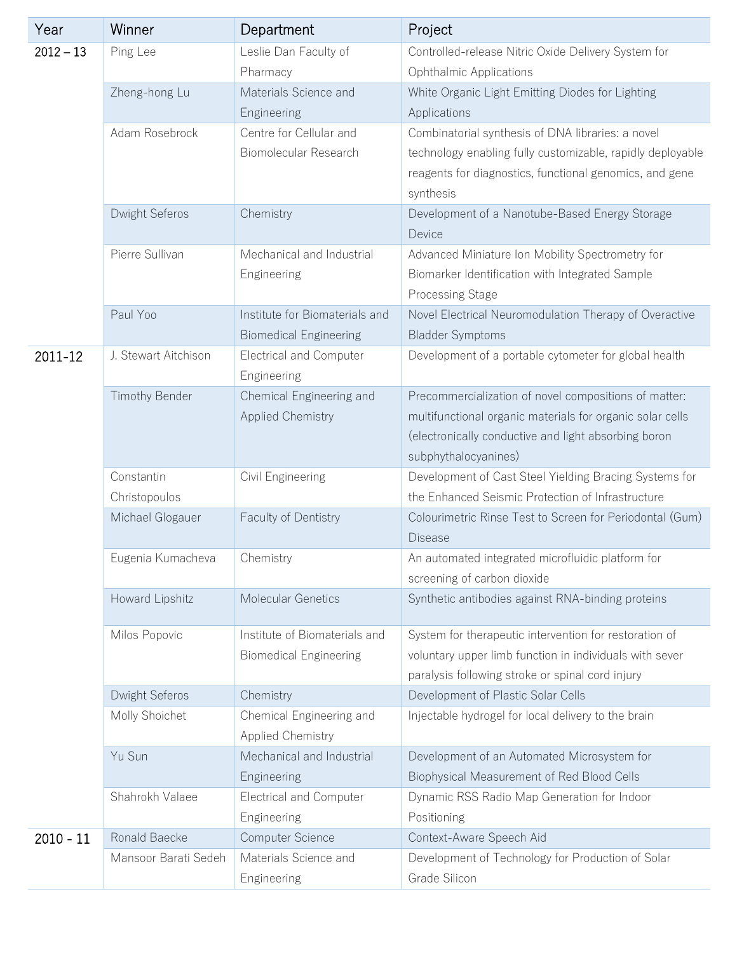| Year        | Winner               | Department                                    | Project                                                    |
|-------------|----------------------|-----------------------------------------------|------------------------------------------------------------|
| $2012 - 13$ | Ping Lee             | Leslie Dan Faculty of                         | Controlled-release Nitric Oxide Delivery System for        |
|             |                      | Pharmacy                                      | Ophthalmic Applications                                    |
|             | Zheng-hong Lu        | Materials Science and                         | White Organic Light Emitting Diodes for Lighting           |
|             |                      | Engineering                                   | Applications                                               |
|             | Adam Rosebrock       | Centre for Cellular and                       | Combinatorial synthesis of DNA libraries: a novel          |
|             |                      | Biomolecular Research                         | technology enabling fully customizable, rapidly deployable |
|             |                      |                                               | reagents for diagnostics, functional genomics, and gene    |
|             |                      |                                               | synthesis                                                  |
|             | Dwight Seferos       | Chemistry                                     | Development of a Nanotube-Based Energy Storage<br>Device   |
|             | Pierre Sullivan      | Mechanical and Industrial                     | Advanced Miniature Ion Mobility Spectrometry for           |
|             |                      | Engineering                                   | Biomarker Identification with Integrated Sample            |
|             |                      |                                               | <b>Processing Stage</b>                                    |
|             | Paul Yoo             | Institute for Biomaterials and                | Novel Electrical Neuromodulation Therapy of Overactive     |
|             |                      | <b>Biomedical Engineering</b>                 | <b>Bladder Symptoms</b>                                    |
| 2011-12     | J. Stewart Aitchison | <b>Electrical and Computer</b><br>Engineering | Development of a portable cytometer for global health      |
|             | Timothy Bender       | Chemical Engineering and                      | Precommercialization of novel compositions of matter:      |
|             |                      | <b>Applied Chemistry</b>                      | multifunctional organic materials for organic solar cells  |
|             |                      |                                               | (electronically conductive and light absorbing boron       |
|             |                      |                                               | subphythalocyanines)                                       |
|             | Constantin           | Civil Engineering                             | Development of Cast Steel Yielding Bracing Systems for     |
|             | Christopoulos        |                                               | the Enhanced Seismic Protection of Infrastructure          |
|             | Michael Glogauer     | Faculty of Dentistry                          | Colourimetric Rinse Test to Screen for Periodontal (Gum)   |
|             |                      |                                               | <b>Disease</b>                                             |
|             | Eugenia Kumacheva    | Chemistry                                     | An automated integrated microfluidic platform for          |
|             |                      |                                               | screening of carbon dioxide                                |
|             | Howard Lipshitz      | Molecular Genetics                            | Synthetic antibodies against RNA-binding proteins          |
|             | Milos Popovic        | Institute of Biomaterials and                 | System for therapeutic intervention for restoration of     |
|             |                      | <b>Biomedical Engineering</b>                 | voluntary upper limb function in individuals with sever    |
|             |                      |                                               | paralysis following stroke or spinal cord injury           |
|             | Dwight Seferos       | Chemistry                                     | Development of Plastic Solar Cells                         |
|             | Molly Shoichet       | Chemical Engineering and                      | Injectable hydrogel for local delivery to the brain        |
|             |                      | <b>Applied Chemistry</b>                      |                                                            |
|             | Yu Sun               | Mechanical and Industrial                     | Development of an Automated Microsystem for                |
|             |                      | Engineering                                   | Biophysical Measurement of Red Blood Cells                 |
|             | Shahrokh Valaee      | <b>Electrical and Computer</b>                | Dynamic RSS Radio Map Generation for Indoor                |
|             |                      | Engineering                                   | Positioning                                                |
| $2010 - 11$ | Ronald Baecke        | Computer Science                              | Context-Aware Speech Aid                                   |
|             | Mansoor Barati Sedeh | Materials Science and                         | Development of Technology for Production of Solar          |
|             |                      | Engineering                                   | Grade Silicon                                              |